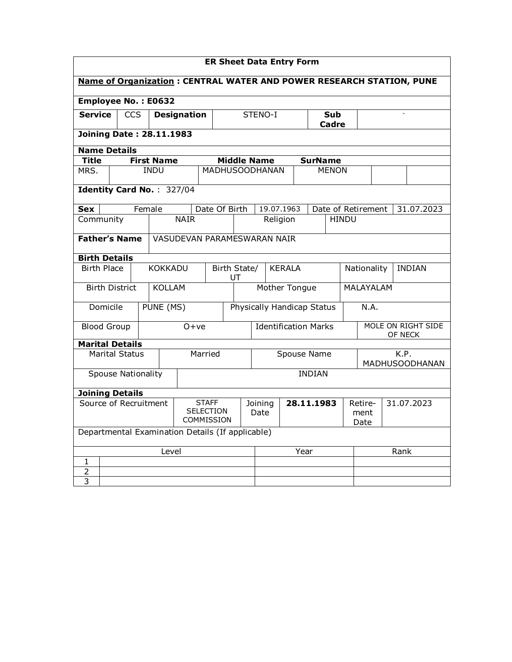| <b>ER Sheet Data Entry Form</b>                                                |                                                  |                       |        |                               |                             |               |                                     |                                       |                                   |          |  |                |                               |                    |  |  |  |            |
|--------------------------------------------------------------------------------|--------------------------------------------------|-----------------------|--------|-------------------------------|-----------------------------|---------------|-------------------------------------|---------------------------------------|-----------------------------------|----------|--|----------------|-------------------------------|--------------------|--|--|--|------------|
| Name of Organization: CENTRAL WATER AND POWER RESEARCH STATION, PUNE           |                                                  |                       |        |                               |                             |               |                                     |                                       |                                   |          |  |                |                               |                    |  |  |  |            |
| Employee No.: E0632                                                            |                                                  |                       |        |                               |                             |               |                                     |                                       |                                   |          |  |                |                               |                    |  |  |  |            |
| <b>Service</b>                                                                 |                                                  | <b>CCS</b>            |        |                               | <b>Designation</b>          |               |                                     |                                       | STENO-I<br>Sub                    |          |  | <b>Cadre</b>   |                               |                    |  |  |  |            |
| <b>Joining Date: 28.11.1983</b>                                                |                                                  |                       |        |                               |                             |               |                                     |                                       |                                   |          |  |                |                               |                    |  |  |  |            |
| <b>Name Details</b>                                                            |                                                  |                       |        |                               |                             |               |                                     |                                       |                                   |          |  |                |                               |                    |  |  |  |            |
| Title                                                                          |                                                  |                       |        | <b>First Name</b>             |                             |               |                                     |                                       | <b>Middle Name</b>                |          |  | <b>SurName</b> |                               |                    |  |  |  |            |
| MRS.                                                                           |                                                  |                       |        | <b>INDU</b>                   |                             |               |                                     |                                       | <b>MADHUSOODHANAN</b>             |          |  |                | <b>MENON</b>                  |                    |  |  |  |            |
|                                                                                |                                                  |                       |        | Identity Card No.: 327/04     |                             |               |                                     |                                       |                                   |          |  |                |                               |                    |  |  |  |            |
| <b>Sex</b>                                                                     |                                                  |                       | Female |                               |                             | Date Of Birth |                                     |                                       | 19.07.1963                        |          |  |                |                               | Date of Retirement |  |  |  | 31.07.2023 |
| Community                                                                      |                                                  |                       |        |                               | <b>NAIR</b>                 |               |                                     |                                       |                                   | Religion |  |                | <b>HINDU</b>                  |                    |  |  |  |            |
| <b>Father's Name</b>                                                           |                                                  |                       |        |                               | VASUDEVAN PARAMESWARAN NAIR |               |                                     |                                       |                                   |          |  |                |                               |                    |  |  |  |            |
| <b>Birth Details</b>                                                           |                                                  |                       |        |                               |                             |               |                                     |                                       |                                   |          |  |                |                               |                    |  |  |  |            |
| <b>Birth Place</b>                                                             |                                                  |                       |        | <b>KOKKADU</b>                |                             |               | Birth State/<br><b>KERALA</b><br>UT |                                       |                                   |          |  |                | Nationality<br><b>INDIAN</b>  |                    |  |  |  |            |
|                                                                                |                                                  | <b>Birth District</b> |        | <b>KOLLAM</b>                 |                             |               | Mother Tongue                       |                                       |                                   |          |  |                | <b>MALAYALAM</b>              |                    |  |  |  |            |
|                                                                                | Domicile                                         |                       |        | PUNE (MS)                     |                             |               |                                     |                                       | <b>Physically Handicap Status</b> |          |  |                |                               | N.A.               |  |  |  |            |
| <b>Blood Group</b>                                                             |                                                  |                       |        |                               | $0+ve$                      |               |                                     |                                       | <b>Identification Marks</b>       |          |  |                | MOLE ON RIGHT SIDE<br>OF NECK |                    |  |  |  |            |
| <b>Marital Details</b>                                                         |                                                  |                       |        |                               |                             |               |                                     |                                       |                                   |          |  |                |                               |                    |  |  |  |            |
|                                                                                |                                                  | <b>Marital Status</b> |        |                               |                             | Married       | <b>Spouse Name</b>                  |                                       |                                   |          |  |                | K.P.<br>MADHUSOODHANAN        |                    |  |  |  |            |
| <b>Spouse Nationality</b>                                                      |                                                  |                       |        |                               | <b>INDIAN</b>               |               |                                     |                                       |                                   |          |  |                |                               |                    |  |  |  |            |
|                                                                                | <b>Joining Details</b>                           |                       |        |                               |                             |               |                                     |                                       |                                   |          |  |                |                               |                    |  |  |  |            |
| Source of Recruitment<br><b>STAFF</b><br><b>SELECTION</b><br><b>COMMISSION</b> |                                                  |                       |        | 28.11.1983<br>Joining<br>Date |                             |               |                                     | 31.07.2023<br>Retire-<br>ment<br>Date |                                   |          |  |                |                               |                    |  |  |  |            |
|                                                                                | Departmental Examination Details (If applicable) |                       |        |                               |                             |               |                                     |                                       |                                   |          |  |                |                               |                    |  |  |  |            |
|                                                                                |                                                  |                       |        | Level                         |                             |               |                                     |                                       | Year                              |          |  |                | Rank                          |                    |  |  |  |            |
| $\mathbf{1}$                                                                   |                                                  |                       |        |                               |                             |               |                                     |                                       |                                   |          |  |                |                               |                    |  |  |  |            |
| $\overline{2}$                                                                 |                                                  |                       |        |                               |                             |               |                                     |                                       |                                   |          |  |                |                               |                    |  |  |  |            |
| $\overline{3}$                                                                 |                                                  |                       |        |                               |                             |               |                                     |                                       |                                   |          |  |                |                               |                    |  |  |  |            |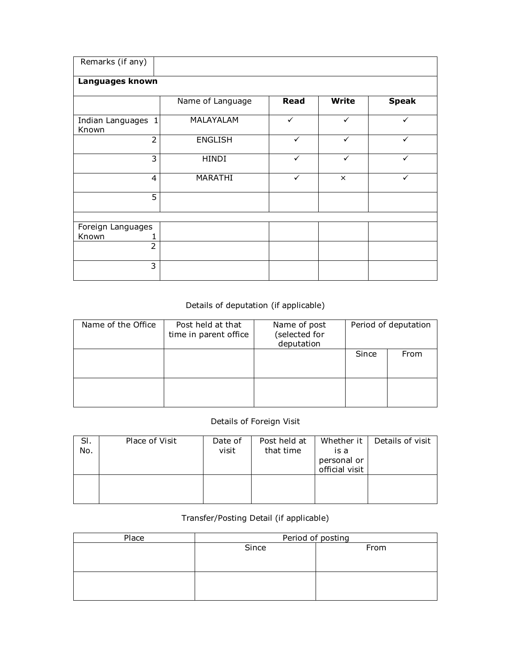| Remarks (if any)            |                  |              |              |              |
|-----------------------------|------------------|--------------|--------------|--------------|
| Languages known             |                  |              |              |              |
|                             | Name of Language | Read         | <b>Write</b> | <b>Speak</b> |
| Indian Languages 1<br>Known | MALAYALAM        | $\checkmark$ | $\checkmark$ | $\checkmark$ |
| $\overline{2}$              | <b>ENGLISH</b>   | $\checkmark$ | $\checkmark$ | $\checkmark$ |
| 3                           | <b>HINDI</b>     | $\checkmark$ | $\checkmark$ | ✓            |
| $\overline{4}$              | MARATHI          | $\checkmark$ | $\times$     | ✓            |
| $\overline{5}$              |                  |              |              |              |
|                             |                  |              |              |              |
| Foreign Languages           |                  |              |              |              |
| Known                       |                  |              |              |              |
| $\overline{2}$              |                  |              |              |              |
| 3                           |                  |              |              |              |

## Details of deputation (if applicable)

| Name of the Office | Post held at that<br>time in parent office | Name of post<br>(selected for<br>deputation | Period of deputation |      |  |
|--------------------|--------------------------------------------|---------------------------------------------|----------------------|------|--|
|                    |                                            |                                             | Since                | From |  |
|                    |                                            |                                             |                      |      |  |

## Details of Foreign Visit

| SI.<br>No. | Place of Visit | Date of<br>visit | Post held at<br>that time | Whether it<br>is a<br>personal or<br>official visit | Details of visit |
|------------|----------------|------------------|---------------------------|-----------------------------------------------------|------------------|
|            |                |                  |                           |                                                     |                  |

## Transfer/Posting Detail (if applicable)

| Place | Period of posting |      |  |  |  |  |
|-------|-------------------|------|--|--|--|--|
|       | Since             | From |  |  |  |  |
|       |                   |      |  |  |  |  |
|       |                   |      |  |  |  |  |
|       |                   |      |  |  |  |  |
|       |                   |      |  |  |  |  |
|       |                   |      |  |  |  |  |